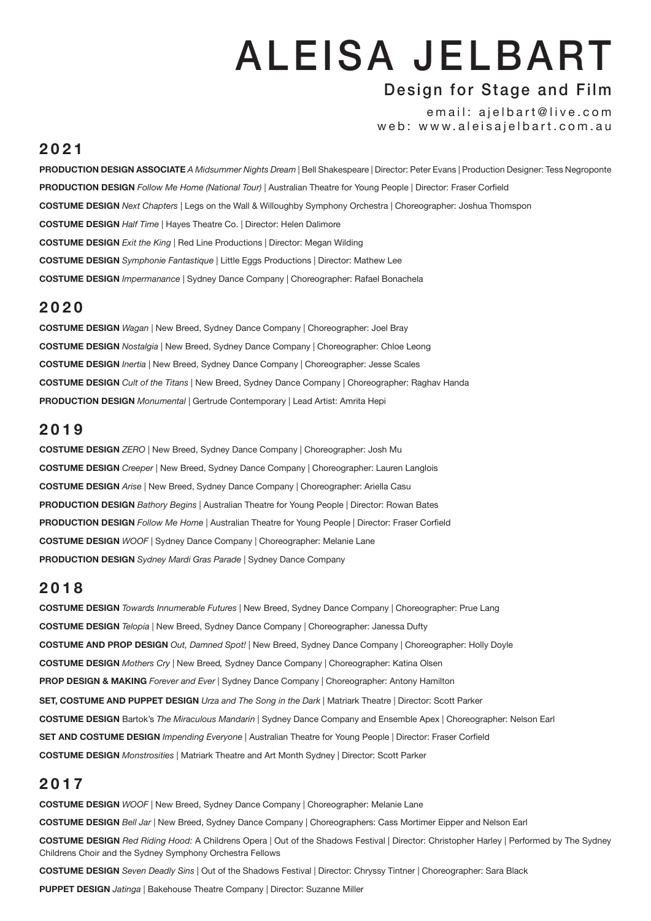# ALEISA JELBART

# Design for Stage and Film

email: ajelbart@live.com web: www.aleisajelbart.com.au

#### **2021**

**Production Design Associate** *A Midsummer Nights Dream |* Bell Shakespeare | Director: Peter Evans | Production Designer: Tess Negroponte **Production Design** *Follow Me Home (National Tour) |* Australian Theatre for Young People | Director: Fraser Corfield **COSTUME Design** *Next Chapters |* Legs on the Wall & Willoughby Symphony Orchestra | Choreographer: Joshua Thomspon **COSTUME Design** *Half Time |* Hayes Theatre Co. | Director: Helen Dalimore **COSTUME Design** *Exit the King |* Red Line Productions | Director: Megan Wilding **COSTUME Design** *Symphonie Fantastique |* Little Eggs Productions | Director: Mathew Lee **COSTUME Design** *Impermanance |* Sydney Dance Company | Choreographer: Rafael Bonachela

#### **2020**

**Costume Design** *Wagan |* New Breed, Sydney Dance Company | Choreographer: Joel Bray **Costume Design** *Nostalgia |* New Breed, Sydney Dance Company | Choreographer: Chloe Leong **Costume Design** *Inertia |* New Breed, Sydney Dance Company | Choreographer: Jesse Scales **Costume Design** *Cult of the Titans |* New Breed, Sydney Dance Company | Choreographer: Raghav Handa **Production Design** *Monumental |* Gertrude Contemporary | Lead Artist: Amrita Hepi

# **2019**

**COSTUME Design** *ZERO |* New Breed, Sydney Dance Company | Choreographer: Josh Mu **COSTUME Design** *Creeper |* New Breed, Sydney Dance Company | Choreographer: Lauren Langlois **COSTUME Design** *Arise |* New Breed, Sydney Dance Company | Choreographer: Ariella Casu **PRoduction Design** *Bathory Begins |* Australian Theatre for Young People | Director: Rowan Bates **PRoduction Design** *Follow Me Home |* Australian Theatre for Young People | Director: Fraser Corfield **COSTUME Design** *WOOF |* Sydney Dance Company | Choreographer: Melanie Lane **Production desigN** *Sydney Mardi Gras Parade |* Sydney Dance Company

#### **2018**

**COSTUME Design** *Towards Innumerable Futures |* New Breed, Sydney Dance Company | Choreographer: Prue Lang **COSTUME Design** *Telopia |* New Breed, Sydney Dance Company | Choreographer: Janessa Dufty **COSTUME and Prop Design** *Out, Damned Spot! |* New Breed, Sydney Dance Company | Choreographer: Holly Doyle **COSTUME Design** *Mothers Cry |* New Breed*,* Sydney Dance Company | Choreographer: Katina Olsen **Prop Design & MAking** *Forever and Ever* | Sydney Dance Company | Choreographer: Antony Hamilton **SET, COSTUME AND PUPPET DESIGN** *Urza and The Song in the Dark* | Matriark Theatre | Director: Scott Parker **COSTUME Design** Bartok's *The Miraculous Mandarin |* Sydney Dance Company and Ensemble Apex | Choreographer: Nelson Earl **Set And COSTUME Design** *Impending Everyone* | Australian Theatre for Young People | Director: Fraser Corfield **COSTUME Design** *Monstrosities |* Matriark Theatre and Art Month Sydney | Director: Scott Parker

# **2017**

**COSTUME Design** *WOOF* | New Breed, Sydney Dance Company | Choreographer: Melanie Lane **COSTUME Design** *Bell Jar* | New Breed, Sydney Dance Company | Choreographers: Cass Mortimer Eipper and Nelson Earl **Costume Design** *Red Riding Hood:* A Childrens Opera *|* Out of the Shadows Festival | Director: Christopher Harley | Performed by The Sydney Childrens Choir and the Sydney Symphony Orchestra Fellows

**Costume Design** *Seven Deadly Sins |* Out of the Shadows Festival | Director: Chryssy Tintner | Choreographer: Sara Black

**Puppet Design** *Jatinga |* Bakehouse Theatre Company | Director: Suzanne Miller